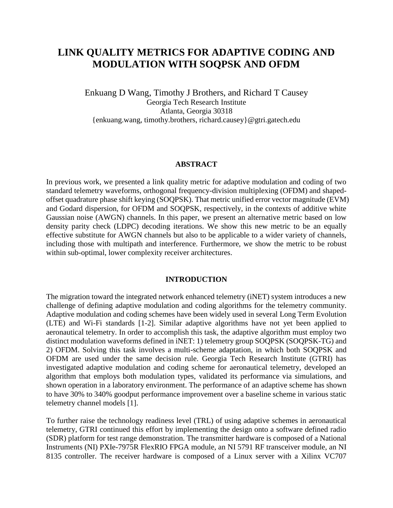# **LINK QUALITY METRICS FOR ADAPTIVE CODING AND MODULATION WITH SOQPSK AND OFDM**

Enkuang D Wang, Timothy J Brothers, and Richard T Causey Georgia Tech Research Institute Atlanta, Georgia 30318 {enkuang.wang, timothy.brothers, richard.causey}@gtri.gatech.edu

#### **ABSTRACT**

In previous work, we presented a link quality metric for adaptive modulation and coding of two standard telemetry waveforms, orthogonal frequency-division multiplexing (OFDM) and shapedoffset quadrature phase shift keying (SOQPSK). That metric unified error vector magnitude (EVM) and Godard dispersion, for OFDM and SOQPSK, respectively, in the contexts of additive white Gaussian noise (AWGN) channels. In this paper, we present an alternative metric based on low density parity check (LDPC) decoding iterations. We show this new metric to be an equally effective substitute for AWGN channels but also to be applicable to a wider variety of channels, including those with multipath and interference. Furthermore, we show the metric to be robust within sub-optimal, lower complexity receiver architectures.

#### **INTRODUCTION**

The migration toward the integrated network enhanced telemetry (iNET) system introduces a new challenge of defining adaptive modulation and coding algorithms for the telemetry community. Adaptive modulation and coding schemes have been widely used in several Long Term Evolution (LTE) and Wi-Fi standards [1-2]. Similar adaptive algorithms have not yet been applied to aeronautical telemetry. In order to accomplish this task, the adaptive algorithm must employ two distinct modulation waveforms defined in iNET: 1) telemetry group SOQPSK (SOQPSK-TG) and 2) OFDM. Solving this task involves a multi-scheme adaptation, in which both SOQPSK and OFDM are used under the same decision rule. Georgia Tech Research Institute (GTRI) has investigated adaptive modulation and coding scheme for aeronautical telemetry, developed an algorithm that employs both modulation types, validated its performance via simulations, and shown operation in a laboratory environment. The performance of an adaptive scheme has shown to have 30% to 340% goodput performance improvement over a baseline scheme in various static telemetry channel models [1].

To further raise the technology readiness level (TRL) of using adaptive schemes in aeronautical telemetry, GTRI continued this effort by implementing the design onto a software defined radio (SDR) platform for test range demonstration. The transmitter hardware is composed of a National Instruments (NI) PXIe-7975R FlexRIO FPGA module, an NI 5791 RF transceiver module, an NI 8135 controller. The receiver hardware is composed of a Linux server with a Xilinx VC707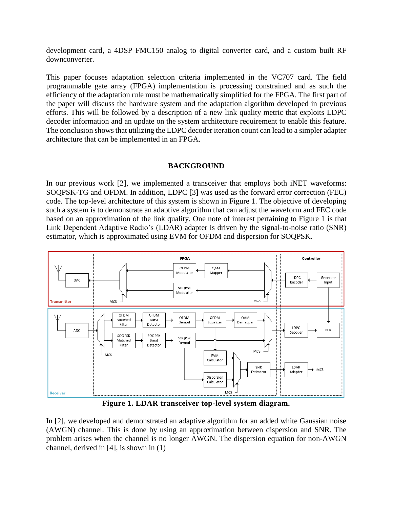development card, a 4DSP FMC150 analog to digital converter card, and a custom built RF downconverter.

This paper focuses adaptation selection criteria implemented in the VC707 card. The field programmable gate array (FPGA) implementation is processing constrained and as such the efficiency of the adaptation rule must be mathematically simplified for the FPGA. The first part of the paper will discuss the hardware system and the adaptation algorithm developed in previous efforts. This will be followed by a description of a new link quality metric that exploits LDPC decoder information and an update on the system architecture requirement to enable this feature. The conclusion shows that utilizing the LDPC decoder iteration count can lead to a simpler adapter architecture that can be implemented in an FPGA.

# **BACKGROUND**

In our previous work [2], we implemented a transceiver that employs both iNET waveforms: SOQPSK-TG and OFDM. In addition, LDPC [3] was used as the forward error correction (FEC) code. The top-level architecture of this system is shown in Figure 1. The objective of developing such a system is to demonstrate an adaptive algorithm that can adjust the waveform and FEC code based on an approximation of the link quality. One note of interest pertaining to Figure 1 is that Link Dependent Adaptive Radio's (LDAR) adapter is driven by the signal-to-noise ratio (SNR) estimator, which is approximated using EVM for OFDM and dispersion for SOQPSK.



**Figure 1. LDAR transceiver top-level system diagram.**

In [2], we developed and demonstrated an adaptive algorithm for an added white Gaussian noise (AWGN) channel. This is done by using an approximation between dispersion and SNR. The problem arises when the channel is no longer AWGN. The dispersion equation for non-AWGN channel, derived in [4], is shown in (1)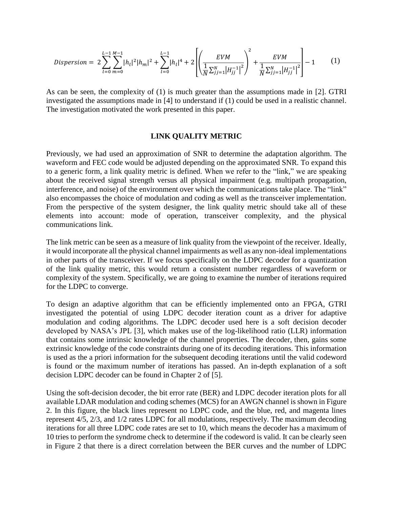$$
Disperson = 2\sum_{l=0}^{L-1}\sum_{m=0}^{M-1}|h_l|^2|h_m|^2 + \sum_{l=0}^{L-1}|h_l|^4 + 2\left[\left(\frac{EVM}{\sqrt{2}j_{j=1}|H_{jj}^{-1}|^2}\right)^2 + \frac{EVM}{\sqrt{2}j_{j=1}|H_{jj}^{-1}|^2}\right] - 1
$$
 (1)

As can be seen, the complexity of (1) is much greater than the assumptions made in [2]. GTRI investigated the assumptions made in [4] to understand if (1) could be used in a realistic channel. The investigation motivated the work presented in this paper.

## **LINK QUALITY METRIC**

Previously, we had used an approximation of SNR to determine the adaptation algorithm. The waveform and FEC code would be adjusted depending on the approximated SNR. To expand this to a generic form, a link quality metric is defined. When we refer to the "link," we are speaking about the received signal strength versus all physical impairment (e.g. multipath propagation, interference, and noise) of the environment over which the communications take place. The "link" also encompasses the choice of modulation and coding as well as the transceiver implementation. From the perspective of the system designer, the link quality metric should take all of these elements into account: mode of operation, transceiver complexity, and the physical communications link.

The link metric can be seen as a measure of link quality from the viewpoint of the receiver. Ideally, it would incorporate all the physical channel impairments as well as any non-ideal implementations in other parts of the transceiver. If we focus specifically on the LDPC decoder for a quantization of the link quality metric, this would return a consistent number regardless of waveform or complexity of the system. Specifically, we are going to examine the number of iterations required for the LDPC to converge.

To design an adaptive algorithm that can be efficiently implemented onto an FPGA, GTRI investigated the potential of using LDPC decoder iteration count as a driver for adaptive modulation and coding algorithms. The LDPC decoder used here is a soft decision decoder developed by NASA's JPL [3], which makes use of the log-likelihood ratio (LLR) information that contains some intrinsic knowledge of the channel properties. The decoder, then, gains some extrinsic knowledge of the code constraints during one of its decoding iterations. This information is used as the a priori information for the subsequent decoding iterations until the valid codeword is found or the maximum number of iterations has passed. An in-depth explanation of a soft decision LDPC decoder can be found in Chapter 2 of [5].

Using the soft-decision decoder, the bit error rate (BER) and LDPC decoder iteration plots for all available LDAR modulation and coding schemes (MCS) for an AWGN channel is shown in Figure 2. In this figure, the black lines represent no LDPC code, and the blue, red, and magenta lines represent 4/5, 2/3, and 1/2 rates LDPC for all modulations, respectively. The maximum decoding iterations for all three LDPC code rates are set to 10, which means the decoder has a maximum of 10 tries to perform the syndrome check to determine if the codeword is valid. It can be clearly seen in Figure 2 that there is a direct correlation between the BER curves and the number of LDPC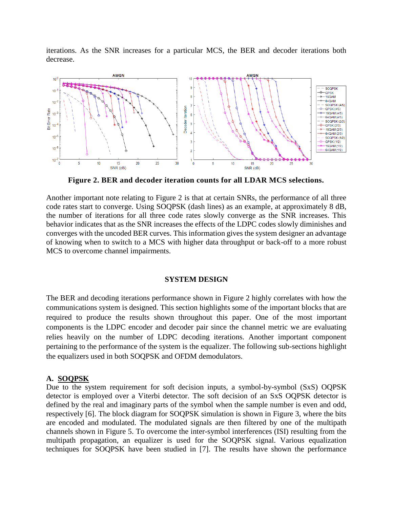iterations. As the SNR increases for a particular MCS, the BER and decoder iterations both decrease.



**Figure 2. BER and decoder iteration counts for all LDAR MCS selections.**

Another important note relating to Figure 2 is that at certain SNRs, the performance of all three code rates start to converge. Using SOQPSK (dash lines) as an example, at approximately 8 dB, the number of iterations for all three code rates slowly converge as the SNR increases. This behavior indicates that as the SNR increases the effects of the LDPC codes slowly diminishes and converges with the uncoded BER curves. This information gives the system designer an advantage of knowing when to switch to a MCS with higher data throughput or back-off to a more robust MCS to overcome channel impairments.

#### **SYSTEM DESIGN**

The BER and decoding iterations performance shown in Figure 2 highly correlates with how the communications system is designed. This section highlights some of the important blocks that are required to produce the results shown throughout this paper. One of the most important components is the LDPC encoder and decoder pair since the channel metric we are evaluating relies heavily on the number of LDPC decoding iterations. Another important component pertaining to the performance of the system is the equalizer. The following sub-sections highlight the equalizers used in both SOQPSK and OFDM demodulators.

#### **A. SOQPSK**

Due to the system requirement for soft decision inputs, a symbol-by-symbol (SxS) OQPSK detector is employed over a Viterbi detector. The soft decision of an SxS OQPSK detector is defined by the real and imaginary parts of the symbol when the sample number is even and odd, respectively [6]. The block diagram for SOQPSK simulation is shown in Figure 3, where the bits are encoded and modulated. The modulated signals are then filtered by one of the multipath channels shown in Figure 5. To overcome the inter-symbol interferences (ISI) resulting from the multipath propagation, an equalizer is used for the SOQPSK signal. Various equalization techniques for SOQPSK have been studied in [7]. The results have shown the performance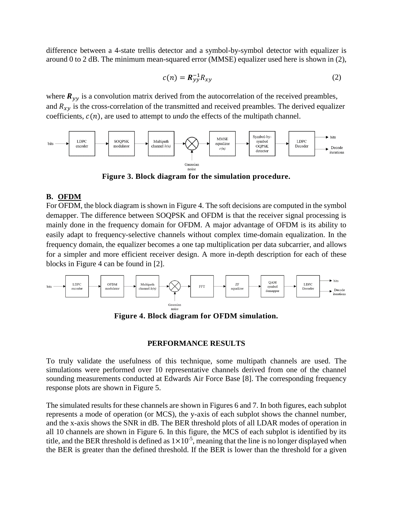difference between a 4-state trellis detector and a symbol-by-symbol detector with equalizer is around 0 to 2 dB. The minimum mean-squared error (MMSE) equalizer used here is shown in (2),

$$
c(n) = \mathbf{R}_{yy}^{-1} R_{xy} \tag{2}
$$

where  $R_{yy}$  is a convolution matrix derived from the autocorrelation of the received preambles, and  $R_{xy}$  is the cross-correlation of the transmitted and received preambles. The derived equalizer coefficients,  $c(n)$ , are used to attempt to *undo* the effects of the multipath channel.



**Figure 3. Block diagram for the simulation procedure.**

# **B. OFDM**

For OFDM, the block diagram is shown in Figure 4. The soft decisions are computed in the symbol demapper. The difference between SOQPSK and OFDM is that the receiver signal processing is mainly done in the frequency domain for OFDM. A major advantage of OFDM is its ability to easily adapt to frequency-selective channels without complex time-domain equalization. In the frequency domain, the equalizer becomes a one tap multiplication per data subcarrier, and allows for a simpler and more efficient receiver design. A more in-depth description for each of these blocks in Figure 4 can be found in [2].



**Figure 4. Block diagram for OFDM simulation.**

# **PERFORMANCE RESULTS**

To truly validate the usefulness of this technique, some multipath channels are used. The simulations were performed over 10 representative channels derived from one of the channel sounding measurements conducted at Edwards Air Force Base [8]. The corresponding frequency response plots are shown in Figure 5.

The simulated results for these channels are shown in Figures 6 and 7. In both figures, each subplot represents a mode of operation (or MCS), the y-axis of each subplot shows the channel number, and the x-axis shows the SNR in dB. The BER threshold plots of all LDAR modes of operation in all 10 channels are shown in Figure 6. In this figure, the MCS of each subplot is identified by its title, and the BER threshold is defined as  $1 \times 10^{-5}$ , meaning that the line is no longer displayed when the BER is greater than the defined threshold. If the BER is lower than the threshold for a given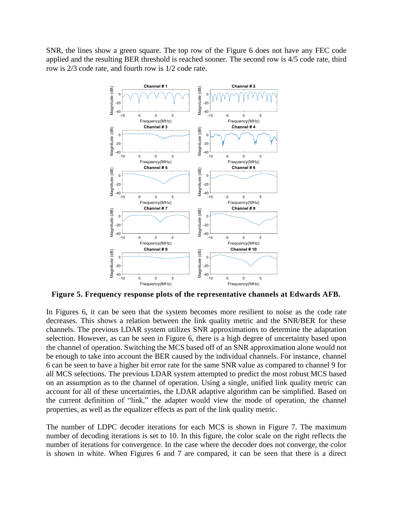SNR, the lines show a green square. The top row of the Figure 6 does not have any FEC code applied and the resulting BER threshold is reached sooner. The second row is 4/5 code rate, third row is 2/3 code rate, and fourth row is 1/2 code rate.



**Figure 5. Frequency response plots of the representative channels at Edwards AFB.**

In Figures 6, it can be seen that the system becomes more resilient to noise as the code rate decreases. This shows a relation between the link quality metric and the SNR/BER for these channels. The previous LDAR system utilizes SNR approximations to determine the adaptation selection. However, as can be seen in Figure 6, there is a high degree of uncertainty based upon the channel of operation. Switching the MCS based off of an SNR approximation alone would not be enough to take into account the BER caused by the individual channels. For instance, channel 6 can be seen to have a higher bit error rate for the same SNR value as compared to channel 9 for all MCS selections. The previous LDAR system attempted to predict the most robust MCS based on an assumption as to the channel of operation. Using a single, unified link quality metric can account for all of these uncertainties, the LDAR adaptive algorithm can be simplified. Based on the current definition of "link," the adapter would view the mode of operation, the channel properties, as well as the equalizer effects as part of the link quality metric.

The number of LDPC decoder iterations for each MCS is shown in Figure 7. The maximum number of decoding iterations is set to 10. In this figure, the color scale on the right reflects the number of iterations for convergence. In the case where the decoder does not converge, the color is shown in white. When Figures 6 and 7 are compared, it can be seen that there is a direct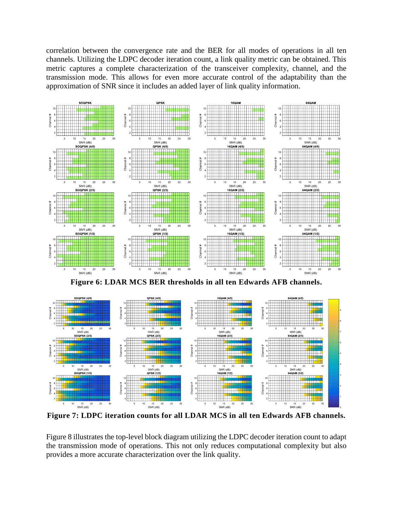correlation between the convergence rate and the BER for all modes of operations in all ten channels. Utilizing the LDPC decoder iteration count, a link quality metric can be obtained. This metric captures a complete characterization of the transceiver complexity, channel, and the transmission mode. This allows for even more accurate control of the adaptability than the approximation of SNR since it includes an added layer of link quality information.





**Figure 7: LDPC iteration counts for all LDAR MCS in all ten Edwards AFB channels.**

Figure 8 illustrates the top-level block diagram utilizing the LDPC decoder iteration count to adapt the transmission mode of operations. This not only reduces computational complexity but also provides a more accurate characterization over the link quality.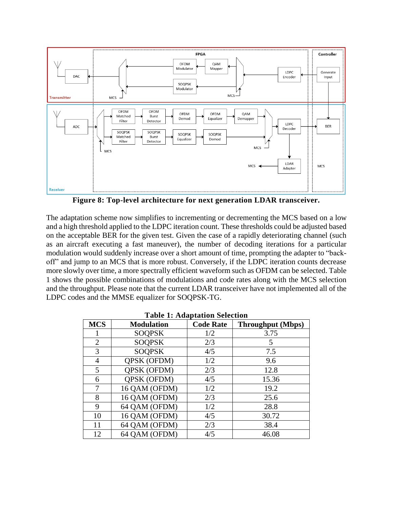

**Figure 8: Top-level architecture for next generation LDAR transceiver.**

The adaptation scheme now simplifies to incrementing or decrementing the MCS based on a low and a high threshold applied to the LDPC iteration count. These thresholds could be adjusted based on the acceptable BER for the given test. Given the case of a rapidly deteriorating channel (such as an aircraft executing a fast maneuver), the number of decoding iterations for a particular modulation would suddenly increase over a short amount of time, prompting the adapter to "backoff" and jump to an MCS that is more robust. Conversely, if the LDPC iteration counts decrease more slowly over time, a more spectrally efficient waveform such as OFDM can be selected. Table 1 shows the possible combinations of modulations and code rates along with the MCS selection and the throughput. Please note that the current LDAR transceiver have not implemented all of the LDPC codes and the MMSE equalizer for SOQPSK-TG.

| $\cdots$       |                    |                  |                          |
|----------------|--------------------|------------------|--------------------------|
| <b>MCS</b>     | <b>Modulation</b>  | <b>Code Rate</b> | <b>Throughput</b> (Mbps) |
| 1              | <b>SOQPSK</b>      | 1/2              | 3.75                     |
| $\overline{2}$ | <b>SOQPSK</b>      | 2/3              | 5                        |
| 3              | <b>SOQPSK</b>      | 4/5              | 7.5                      |
| 4              | <b>QPSK (OFDM)</b> | 1/2              | 9.6                      |
| 5              | QPSK (OFDM)        | 2/3              | 12.8                     |
| 6              | QPSK (OFDM)        | 4/5              | 15.36                    |
| 7              | 16 QAM (OFDM)      | 1/2              | 19.2                     |
| 8              | 16 QAM (OFDM)      | 2/3              | 25.6                     |
| 9              | 64 QAM (OFDM)      | 1/2              | 28.8                     |
| 10             | 16 QAM (OFDM)      | 4/5              | 30.72                    |
| 11             | 64 QAM (OFDM)      | 2/3              | 38.4                     |
| 12             | 64 QAM (OFDM)      | 4/5              | 46.08                    |

**Table 1: Adaptation Selection**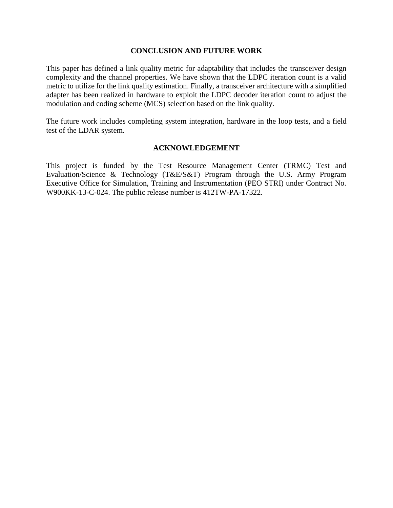### **CONCLUSION AND FUTURE WORK**

This paper has defined a link quality metric for adaptability that includes the transceiver design complexity and the channel properties. We have shown that the LDPC iteration count is a valid metric to utilize for the link quality estimation. Finally, a transceiver architecture with a simplified adapter has been realized in hardware to exploit the LDPC decoder iteration count to adjust the modulation and coding scheme (MCS) selection based on the link quality.

The future work includes completing system integration, hardware in the loop tests, and a field test of the LDAR system.

# **ACKNOWLEDGEMENT**

This project is funded by the Test Resource Management Center (TRMC) Test and Evaluation/Science & Technology (T&E/S&T) Program through the U.S. Army Program Executive Office for Simulation, Training and Instrumentation (PEO STRI) under Contract No. W900KK-13-C-024. The public release number is 412TW-PA-17322.